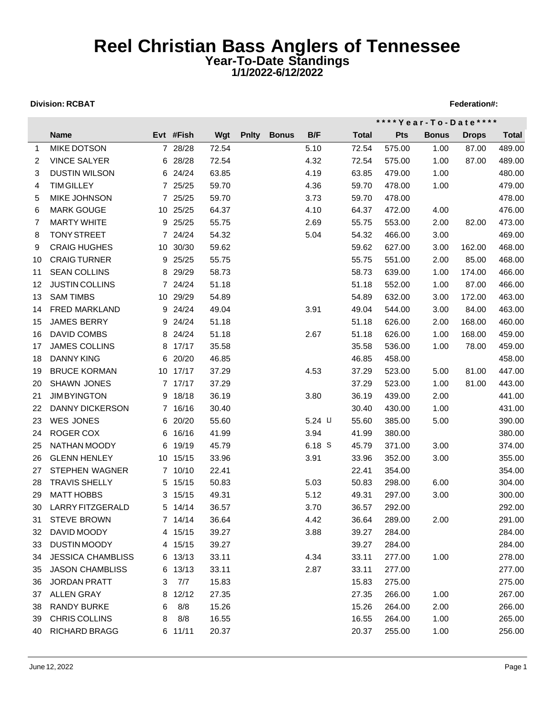## **Reel Christian Bass Anglers of Tennessee Year-To-Date Standings 1/1/2022-6/12/2022**

## **Division: RCBAT** Federation **RGBAT** Federation **RGBAT** Federation **Federation Federation Federation Federation Federation Federation Federation Federation Federation Federation Federation Federation**

|    |                          |   |           |       |              |              |          |              |            | **** Year-To-Date**** |              |              |
|----|--------------------------|---|-----------|-------|--------------|--------------|----------|--------------|------------|-----------------------|--------------|--------------|
|    | <b>Name</b>              |   | Evt #Fish | Wgt   | <b>Pnity</b> | <b>Bonus</b> | B/F      | <b>Total</b> | <b>Pts</b> | <b>Bonus</b>          | <b>Drops</b> | <b>Total</b> |
| 1  | MIKE DOTSON              |   | 7 28/28   | 72.54 |              |              | 5.10     | 72.54        | 575.00     | 1.00                  | 87.00        | 489.00       |
| 2  | <b>VINCE SALYER</b>      |   | 6 28/28   | 72.54 |              |              | 4.32     | 72.54        | 575.00     | 1.00                  | 87.00        | 489.00       |
| 3  | <b>DUSTIN WILSON</b>     |   | 6 24/24   | 63.85 |              |              | 4.19     | 63.85        | 479.00     | 1.00                  |              | 480.00       |
| 4  | <b>TIM GILLEY</b>        |   | 7 25/25   | 59.70 |              |              | 4.36     | 59.70        | 478.00     | 1.00                  |              | 479.00       |
| 5  | MIKE JOHNSON             |   | 7 25/25   | 59.70 |              |              | 3.73     | 59.70        | 478.00     |                       |              | 478.00       |
| 6  | <b>MARK GOUGE</b>        |   | 10 25/25  | 64.37 |              |              | 4.10     | 64.37        | 472.00     | 4.00                  |              | 476.00       |
| 7  | <b>MARTY WHITE</b>       |   | 9 25/25   | 55.75 |              |              | 2.69     | 55.75        | 553.00     | 2.00                  | 82.00        | 473.00       |
| 8  | <b>TONY STREET</b>       |   | 7 24/24   | 54.32 |              |              | 5.04     | 54.32        | 466.00     | 3.00                  |              | 469.00       |
| 9  | <b>CRAIG HUGHES</b>      |   | 10 30/30  | 59.62 |              |              |          | 59.62        | 627.00     | 3.00                  | 162.00       | 468.00       |
| 10 | <b>CRAIG TURNER</b>      |   | 9 25/25   | 55.75 |              |              |          | 55.75        | 551.00     | 2.00                  | 85.00        | 468.00       |
| 11 | <b>SEAN COLLINS</b>      |   | 8 29/29   | 58.73 |              |              |          | 58.73        | 639.00     | 1.00                  | 174.00       | 466.00       |
| 12 | <b>JUSTIN COLLINS</b>    |   | 7 24/24   | 51.18 |              |              |          | 51.18        | 552.00     | 1.00                  | 87.00        | 466.00       |
| 13 | <b>SAM TIMBS</b>         |   | 10 29/29  | 54.89 |              |              |          | 54.89        | 632.00     | 3.00                  | 172.00       | 463.00       |
| 14 | FRED MARKLAND            |   | 9 24/24   | 49.04 |              |              | 3.91     | 49.04        | 544.00     | 3.00                  | 84.00        | 463.00       |
| 15 | JAMES BERRY              |   | 9 24/24   | 51.18 |              |              |          | 51.18        | 626.00     | 2.00                  | 168.00       | 460.00       |
| 16 | DAVID COMBS              |   | 8 24/24   | 51.18 |              |              | 2.67     | 51.18        | 626.00     | 1.00                  | 168.00       | 459.00       |
| 17 | <b>JAMES COLLINS</b>     |   | 8 17/17   | 35.58 |              |              |          | 35.58        | 536.00     | 1.00                  | 78.00        | 459.00       |
| 18 | <b>DANNY KING</b>        |   | 6 20/20   | 46.85 |              |              |          | 46.85        | 458.00     |                       |              | 458.00       |
| 19 | <b>BRUCE KORMAN</b>      |   | 10 17/17  | 37.29 |              |              | 4.53     | 37.29        | 523.00     | 5.00                  | 81.00        | 447.00       |
| 20 | <b>SHAWN JONES</b>       |   | 7 17/17   | 37.29 |              |              |          | 37.29        | 523.00     | 1.00                  | 81.00        | 443.00       |
| 21 | <b>JIMBYINGTON</b>       |   | 9 18/18   | 36.19 |              |              | 3.80     | 36.19        | 439.00     | 2.00                  |              | 441.00       |
| 22 | <b>DANNY DICKERSON</b>   |   | 7 16/16   | 30.40 |              |              |          | 30.40        | 430.00     | 1.00                  |              | 431.00       |
| 23 | <b>WES JONES</b>         |   | 6 20/20   | 55.60 |              |              | $5.24$ U | 55.60        | 385.00     | 5.00                  |              | 390.00       |
| 24 | ROGER COX                |   | 6 16/16   | 41.99 |              |              | 3.94     | 41.99        | 380.00     |                       |              | 380.00       |
| 25 | NATHAN MOODY             |   | 6 19/19   | 45.79 |              |              | $6.18$ S | 45.79        | 371.00     | 3.00                  |              | 374.00       |
| 26 | <b>GLENN HENLEY</b>      |   | 10 15/15  | 33.96 |              |              | 3.91     | 33.96        | 352.00     | 3.00                  |              | 355.00       |
| 27 | <b>STEPHEN WAGNER</b>    |   | 7 10/10   | 22.41 |              |              |          | 22.41        | 354.00     |                       |              | 354.00       |
| 28 | <b>TRAVIS SHELLY</b>     |   | 5 15/15   | 50.83 |              |              | 5.03     | 50.83        | 298.00     | 6.00                  |              | 304.00       |
| 29 | <b>MATT HOBBS</b>        |   | 3 15/15   | 49.31 |              |              | 5.12     | 49.31        | 297.00     | 3.00                  |              | 300.00       |
| 30 | <b>LARRY FITZGERALD</b>  |   | 5 14/14   | 36.57 |              |              | 3.70     | 36.57        | 292.00     |                       |              | 292.00       |
| 31 | <b>STEVE BROWN</b>       |   | 7 14/14   | 36.64 |              |              | 4.42     | 36.64        | 289.00     | 2.00                  |              | 291.00       |
| 32 | DAVID MOODY              |   | 4 15/15   | 39.27 |              |              | 3.88     | 39.27        | 284.00     |                       |              | 284.00       |
| 33 | <b>DUSTIN MOODY</b>      |   | 4 15/15   | 39.27 |              |              |          | 39.27        | 284.00     |                       |              | 284.00       |
| 34 | <b>JESSICA CHAMBLISS</b> |   | 6 13/13   | 33.11 |              |              | 4.34     | 33.11        | 277.00     | 1.00                  |              | 278.00       |
| 35 | <b>JASON CHAMBLISS</b>   |   | 6 13/13   | 33.11 |              |              | 2.87     | 33.11        | 277.00     |                       |              | 277.00       |
| 36 | <b>JORDAN PRATT</b>      | 3 | 7/7       | 15.83 |              |              |          | 15.83        | 275.00     |                       |              | 275.00       |
| 37 | <b>ALLEN GRAY</b>        | 8 | 12/12     | 27.35 |              |              |          | 27.35        | 266.00     | 1.00                  |              | 267.00       |
| 38 | <b>RANDY BURKE</b>       | 6 | 8/8       | 15.26 |              |              |          | 15.26        | 264.00     | 2.00                  |              | 266.00       |
| 39 | CHRIS COLLINS            | 8 | 8/8       | 16.55 |              |              |          | 16.55        | 264.00     | 1.00                  |              | 265.00       |
| 40 | RICHARD BRAGG            |   | 6 11/11   | 20.37 |              |              |          | 20.37        | 255.00     | 1.00                  |              | 256.00       |
|    |                          |   |           |       |              |              |          |              |            |                       |              |              |